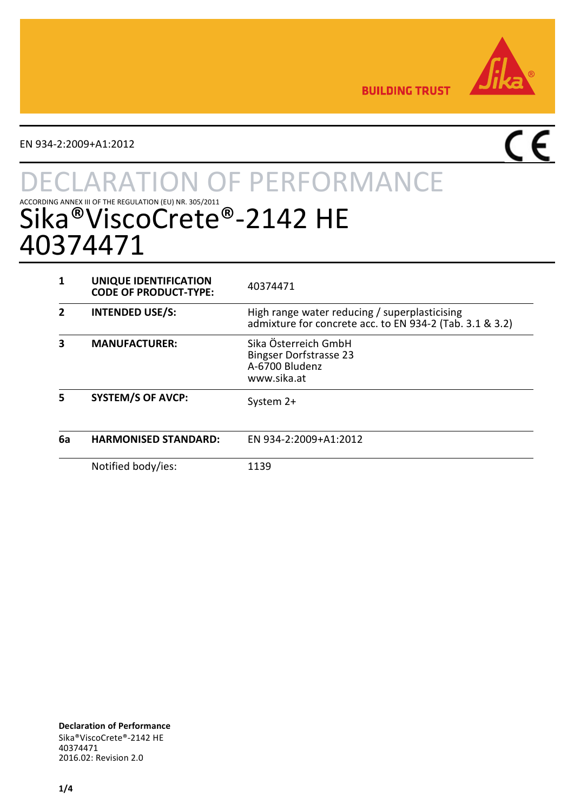

**BUILDING TRUST** 

EN 934-2:2009+A1:2012

# $\overline{\mathsf{CE}}$

# **TON OF PERFORMANCE** ACCORDING ANNEX III OF THE REGULATION (EU) NR. 305/2011  $\odot$  - 2142 HE 40374471

|    | UNIQUE IDENTIFICATION<br><b>CODE OF PRODUCT-TYPE:</b> | 40374471                                                                                                  |
|----|-------------------------------------------------------|-----------------------------------------------------------------------------------------------------------|
|    | <b>INTENDED USE/S:</b>                                | High range water reducing / superplasticising<br>admixture for concrete acc. to EN 934-2 (Tab. 3.1 & 3.2) |
|    | <b>MANUFACTURER:</b>                                  | Sika Österreich GmbH<br><b>Bingser Dorfstrasse 23</b><br>A-6700 Bludenz<br>www.sika.at                    |
| 5  | <b>SYSTEM/S OF AVCP:</b>                              | System 2+                                                                                                 |
| 6a | <b>HARMONISED STANDARD:</b>                           | EN 934-2:2009+A1:2012                                                                                     |
|    | Notified body/ies:                                    | 1139                                                                                                      |

**Declaration of Performance** Sika®ViscoCrete®-2142 HE 40374471 2016.02: Revision 2.0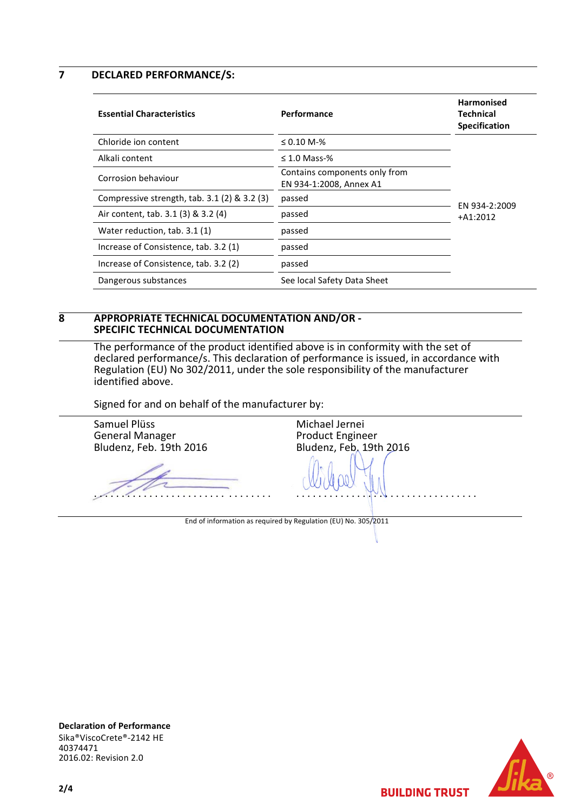**7 DECLARED PERFORMANCE/S:**

| <b>Essential Characteristics</b>                | Performance                                              | <b>Harmonised</b><br>Technical<br><b>Specification</b> |
|-------------------------------------------------|----------------------------------------------------------|--------------------------------------------------------|
| Chloride ion content                            | $\leq 0.10$ M-%                                          |                                                        |
| Alkali content                                  | $\leq$ 1.0 Mass-%                                        |                                                        |
| Corrosion behaviour                             | Contains components only from<br>EN 934-1:2008, Annex A1 |                                                        |
| Compressive strength, $tab. 3.1 (2) \& 3.2 (3)$ | passed                                                   | EN 934-2:2009                                          |
| Air content, tab. 3.1 (3) & 3.2 (4)             | passed                                                   | $+A1:2012$                                             |
| Water reduction, tab. 3.1 (1)                   | passed                                                   |                                                        |
| Increase of Consistence, tab. 3.2 (1)           | passed                                                   |                                                        |
| Increase of Consistence, tab. 3.2 (2)           | passed                                                   |                                                        |
| Dangerous substances                            | See local Safety Data Sheet                              |                                                        |

#### **8 APPROPRIATE TECHNICAL DOCUMENTATION AND/OR - SPECIFIC TECHNICAL DOCUMENTATION**

The performance of the product identified above is in conformity with the set of declared performance/s. This declaration of performance is issued, in accordance with Regulation (EU) No 302/2011, under the sole responsibility of the manufacturer identified above.

Signed for and on behalf of the manufacturer by:

Samuel Plüss General Manager Bludenz, Feb. 19th 2016 . . . . . . . . . . . . . . . . . . . . . . . . . . . . . . . . Michael Jernei Product Engineer Bludenz, Feb. 19th 2016 . . . . . . . . . . . . . . . . . . . . . . . . . . . . . . . . . End of information as required by Regulation (EU) No. 305/2011

**Declaration of Performance** Sika®ViscoCrete®-2142 HE 40374471 2016.02: Revision 2.0



**BUILDING TRUST** 

**2/4**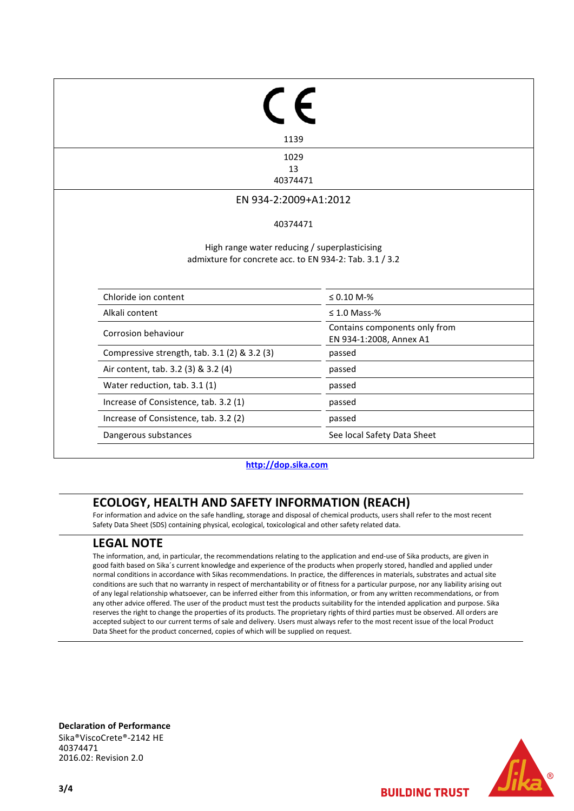| 1139                                                                                                     |                                                          |
|----------------------------------------------------------------------------------------------------------|----------------------------------------------------------|
| 1029                                                                                                     |                                                          |
| 13<br>40374471                                                                                           |                                                          |
|                                                                                                          |                                                          |
| EN 934-2:2009+A1:2012                                                                                    |                                                          |
| 40374471                                                                                                 |                                                          |
|                                                                                                          |                                                          |
| High range water reducing / superplasticising<br>admixture for concrete acc. to EN 934-2: Tab. 3.1 / 3.2 |                                                          |
| Chloride ion content                                                                                     | $≤ 0.10 M-%$                                             |
| Alkali content                                                                                           | $\leq 1.0$ Mass-%                                        |
| Corrosion behaviour                                                                                      | Contains components only from<br>EN 934-1:2008, Annex A1 |
| Compressive strength, tab. 3.1 (2) & 3.2 (3)                                                             | passed                                                   |
| Air content, tab. 3.2 (3) & 3.2 (4)                                                                      | passed                                                   |
| Water reduction, tab. 3.1 (1)                                                                            | passed                                                   |
| Increase of Consistence, tab. 3.2 (1)                                                                    | passed                                                   |
| Increase of Consistence, tab. 3.2 (2)                                                                    | passed                                                   |

**[http://dop.sika.com](http://dop.sika.com/)**

## **ECOLOGY, HEALTH AND SAFETY INFORMATION (REACH)**

For information and advice on the safe handling, storage and disposal of chemical products, users shall refer to the most recent Safety Data Sheet (SDS) containing physical, ecological, toxicological and other safety related data.

### **LEGAL NOTE**

The information, and, in particular, the recommendations relating to the application and end-use of Sika products, are given in good faith based on Sika´s current knowledge and experience of the products when properly stored, handled and applied under normal conditions in accordance with Sikas recommendations. In practice, the differences in materials, substrates and actual site conditions are such that no warranty in respect of merchantability or of fitness for a particular purpose, nor any liability arising out of any legal relationship whatsoever, can be inferred either from this information, or from any written recommendations, or from any other advice offered. The user of the product must test the products suitability for the intended application and purpose. Sika reserves the right to change the properties of its products. The proprietary rights of third parties must be observed. All orders are accepted subject to our current terms of sale and delivery. Users must always refer to the most recent issue of the local Product Data Sheet for the product concerned, copies of which will be supplied on request.

**Declaration of Performance** Sika®ViscoCrete®-2142 HE 40374471 2016.02: Revision 2.0



**BUILDING TRUST**